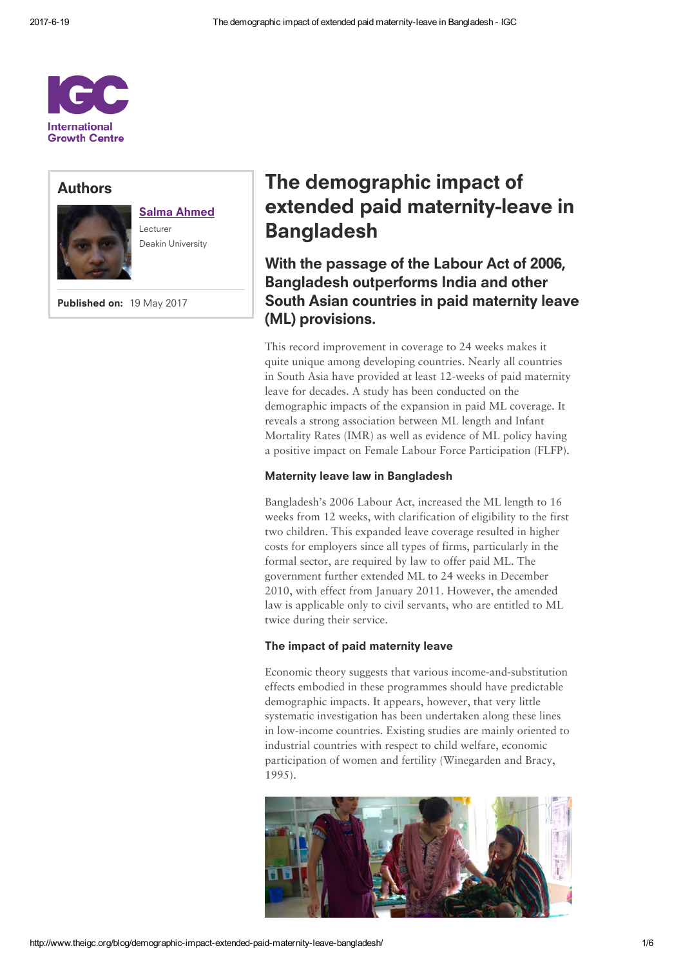

# Authors



# Salma [Ahmed](http://www.theigc.org/person/salma-ahmed/)

Lecturer Deakin University

Published on: 19 May 2017

# The demographic impact of extended paid maternity-leave in Bangladesh

With the passage of the Labour Act of 2006, Bangladesh outperforms India and other South Asian countries in paid maternity leave (ML) provisions.

This record improvement in coverage to 24 weeks makes it quite unique among developing countries. Nearly all countries in South Asia have provided at least 12-weeks of paid maternity leave for decades. A study has been conducted on the demographic impacts of the expansion in paid ML coverage. It reveals a strong association between ML length and Infant Mortality Rates (IMR) as well as evidence of ML policy having a positive impact on Female Labour Force Participation (FLFP).

### Maternity leave law in Bangladesh

Bangladesh's 2006 Labour Act, increased the ML length to 16 weeks from 12 weeks, with clarification of eligibility to the first two children. This expanded leave coverage resulted in higher costs for employers since all types of firms, particularly in the formal sector, are required by law to offer paid ML. The government further extended ML to 24 weeks in December 2010, with effect from January 2011. However, the amended law is applicable only to civil servants, who are entitled to ML twice during their service.

### The impact of paid maternity leave

Economic theory suggests that various income-and-substitution effects embodied in these programmes should have predictable demographic impacts. It appears, however, that very little systematic investigation has been undertaken along these lines in low-income countries. Existing studies are mainly oriented to industrial countries with respect to child welfare, economic participation of women and fertility (Winegarden and Bracy, 1995).

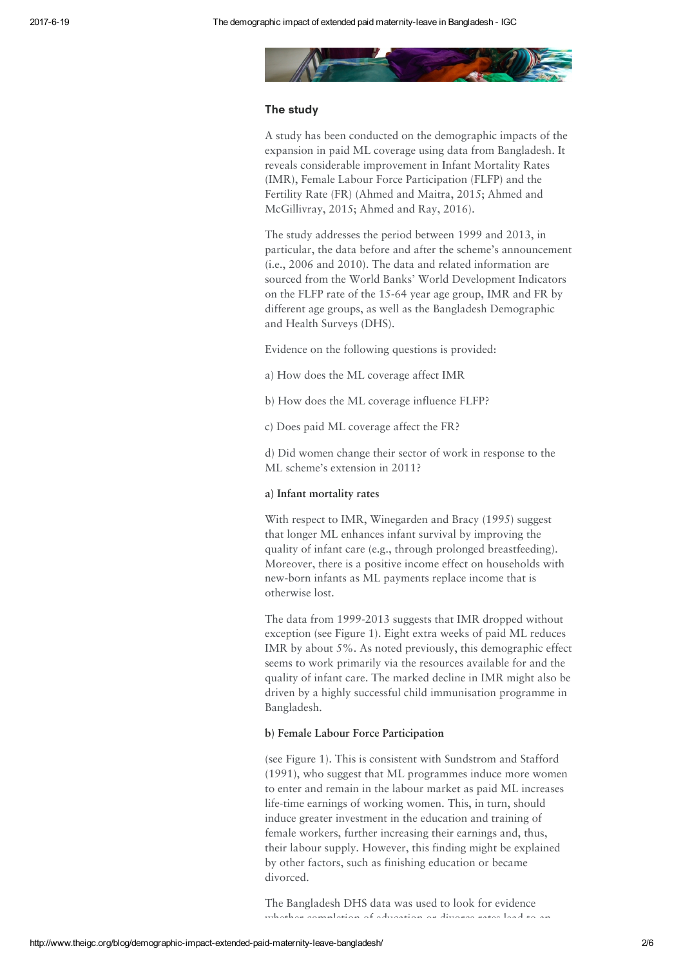

### The study

A study has been conducted on the demographic impacts of the expansion in paid ML coverage using data from Bangladesh. It reveals considerable improvement in Infant Mortality Rates (IMR), Female Labour Force Participation (FLFP) and the Fertility Rate (FR) (Ahmed and Maitra, 2015; Ahmed and McGillivray, 2015; Ahmed and Ray, 2016).

The study addresses the period between 1999 and 2013, in particular, the data before and after the scheme's announcement (i.e., 2006 and 2010). The data and related information are sourced from the World Banks' World Development Indicators on the FLFP rate of the 15-64 year age group, IMR and FR by different age groups, as well as the Bangladesh Demographic and Health Surveys (DHS).

Evidence on the following questions is provided:

- a) How does the ML coverage affect IMR
- b) How does the ML coverage influence FLFP?
- c) Does paid ML coverage affect the FR?

d) Did women change their sector of work in response to the ML scheme's extension in 2011?

#### a) Infant mortality rates

With respect to IMR, Winegarden and Bracy (1995) suggest that longer ML enhances infant survival by improving the quality of infant care (e.g., through prolonged breastfeeding). Moreover, there is a positive income effect on households with new-born infants as ML payments replace income that is otherwise lost.

The data from 1999-2013 suggests that IMR dropped without exception (see Figure 1). Eight extra weeks of paid ML reduces IMR by about 5%. As noted previously, this demographic effect seems to work primarily via the resources available for and the quality of infant care. The marked decline in IMR might also be driven by a highly successful child immunisation programme in Bangladesh.

#### b) Female Labour Force Participation

(see Figure 1). This is consistent with Sundstrom and Stafford (1991), who suggest that ML programmes induce more women to enter and remain in the labour market as paid ML increases life-time earnings of working women. This, in turn, should induce greater investment in the education and training of female workers, further increasing their earnings and, thus, their labour supply. However, this finding might be explained by other factors, such as finishing education or became divorced.

The Bangladesh DHS data was used to look for evidence whether completion of education or divorce rates lead to an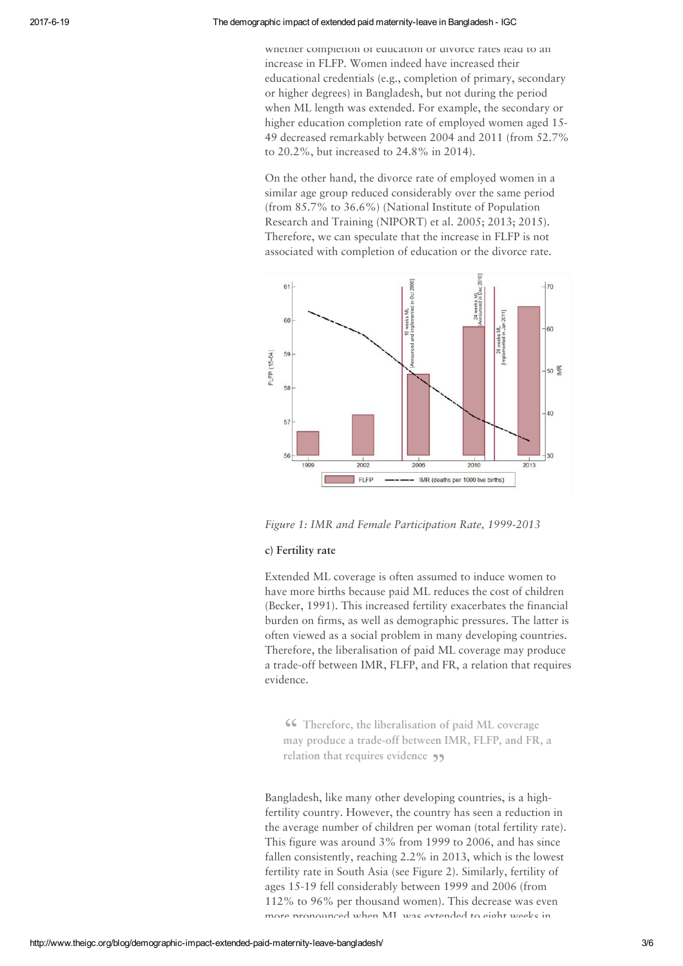#### 2017619 The demographic impact of extended paid maternityleave in Bangladesh IGC

whether completion of equcation or divorce rates lead to an increase in FLFP. Women indeed have increased their educational credentials (e.g., completion of primary, secondary or higher degrees) in Bangladesh, but not during the period when ML length was extended. For example, the secondary or higher education completion rate of employed women aged 15-49 decreased remarkably between 2004 and 2011 (from 52.7% to 20.2%, but increased to 24.8% in 2014).

On the other hand, the divorce rate of employed women in a similar age group reduced considerably over the same period (from 85.7% to 36.6%) (National Institute of Population Research and Training (NIPORT) et al. 2005; 2013; 2015). Therefore, we can speculate that the increase in FLFP is not associated with completion of education or the divorce rate.



Figure 1: IMR and Female Participation Rate, 1999-2013

## c) Fertility rate

Extended ML coverage is often assumed to induce women to have more births because paid ML reduces the cost of children (Becker, 1991). This increased fertility exacerbates the financial burden on firms, as well as demographic pressures. The latter is often viewed as a social problem in many developing countries. Therefore, the liberalisation of paid ML coverage may produce a trade-off between IMR, FLFP, and FR, a relation that requires evidence.

**46** Therefore, the liberalisation of paid ML coverage may produce a trade-off between IMR, FLFP, and FR, a Therefore, the liberalisation of paid ML coverage relation that requires evidence  $\rightarrow$ 

Bangladesh, like many other developing countries, is a highfertility country. However, the country has seen a reduction in the average number of children per woman (total fertility rate). This figure was around 3% from 1999 to 2006, and has since fallen consistently, reaching 2.2% in 2013, which is the lowest fertility rate in South Asia (see Figure 2). Similarly, fertility of ages 15-19 fell considerably between 1999 and 2006 (from 112% to 96% per thousand women). This decrease was even more pronounced when ML was extended to eight weeks in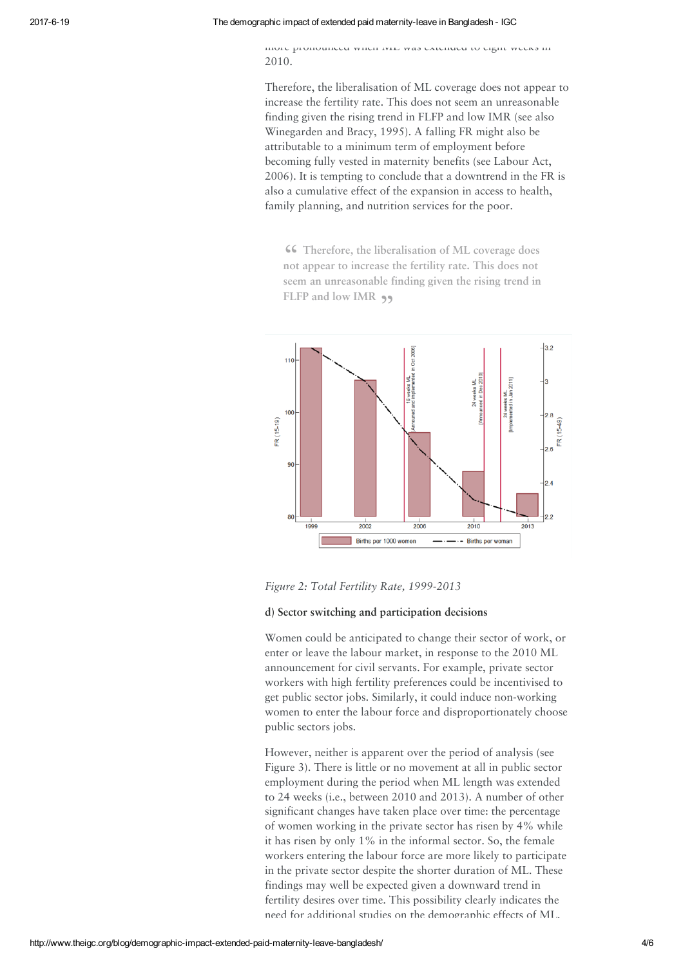#### 2017619 The demographic impact of extended paid maternityleave in Bangladesh IGC

more pronounced when ML was extended to eight weeks in 2010.

Therefore, the liberalisation of ML coverage does not appear to increase the fertility rate. This does not seem an unreasonable finding given the rising trend in FLFP and low IMR (see also Winegarden and Bracy, 1995). A falling FR might also be attributable to a minimum term of employment before becoming fully vested in maternity benefits (see Labour Act, 2006). It is tempting to conclude that a downtrend in the FR is also a cumulative effect of the expansion in access to health, family planning, and nutrition services for the poor.

**46** Therefore, the liberalisation of ML coverage does not appear to increase the fertility rate. This does not Therefore, the liberalisation of ML coverage does seem an unreasonable finding given the rising trend in FLFP and low IMR



Figure 2: Total Fertility Rate, 1999-2013

## d) Sector switching and participation decisions

Women could be anticipated to change their sector of work, or enter or leave the labour market, in response to the 2010 ML announcement for civil servants. For example, private sector workers with high fertility preferences could be incentivised to get public sector jobs. Similarly, it could induce non-working women to enter the labour force and disproportionately choose public sectors jobs.

However, neither is apparent over the period of analysis (see Figure 3). There is little or no movement at all in public sector employment during the period when ML length was extended to 24 weeks (i.e., between 2010 and 2013). A number of other significant changes have taken place over time: the percentage of women working in the private sector has risen by 4% while it has risen by only 1% in the informal sector. So, the female workers entering the labour force are more likely to participate in the private sector despite the shorter duration of ML. These findings may well be expected given a downward trend in fertility desires over time. This possibility clearly indicates the need for additional studies on the demographic effects of ML,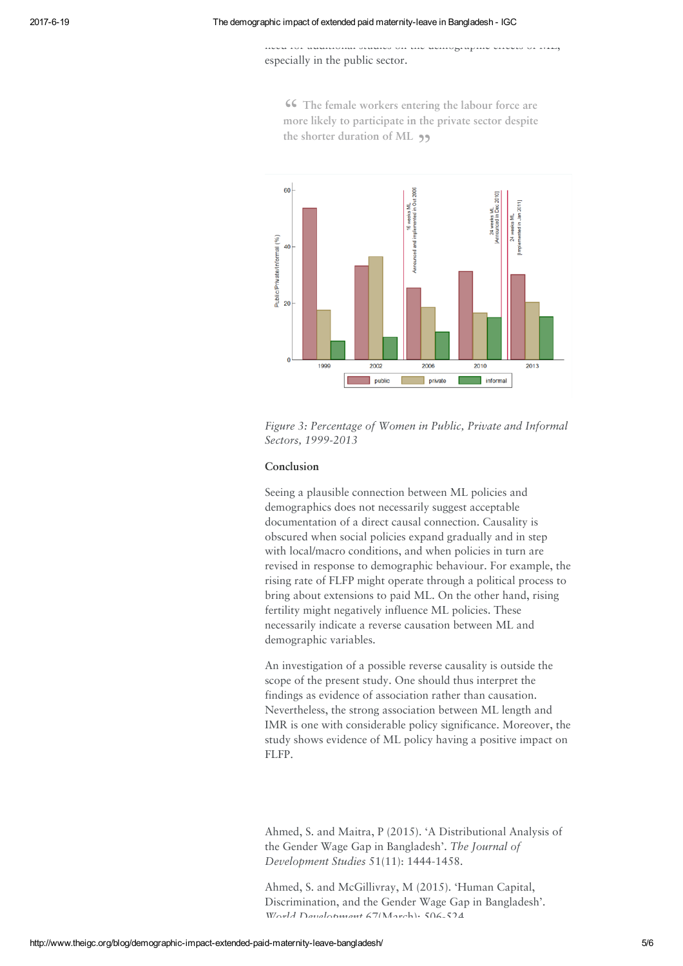especially in the public sector.



**46** The female workers entering the labour force are more likely to participate in the private sector despite The female workers entering the labour force are the shorter duration of ML  $\rightarrow$ 

need for additional studies on the demographic effects of ML,

Figure 3: Percentage of Women in Public, Private and Informal Sectors, 1999-2013

#### Conclusion

Seeing a plausible connection between ML policies and demographics does not necessarily suggest acceptable documentation of a direct causal connection. Causality is obscured when social policies expand gradually and in step with local/macro conditions, and when policies in turn are revised in response to demographic behaviour. For example, the rising rate of FLFP might operate through a political process to bring about extensions to paid ML. On the other hand, rising fertility might negatively influence ML policies. These necessarily indicate a reverse causation between ML and demographic variables.

An investigation of a possible reverse causality is outside the scope of the present study. One should thus interpret the findings as evidence of association rather than causation. Nevertheless, the strong association between ML length and IMR is one with considerable policy significance. Moreover, the study shows evidence of ML policy having a positive impact on FLFP.

Ahmed, S. and Maitra, P (2015). 'A Distributional Analysis of the Gender Wage Gap in Bangladesh'. The Journal of Development Studies 51(11): 1444-1458.

Ahmed, S. and McGillivray, M (2015). 'Human Capital, Discrimination, and the Gender Wage Gap in Bangladesh'. World Development 67(March): 506-524